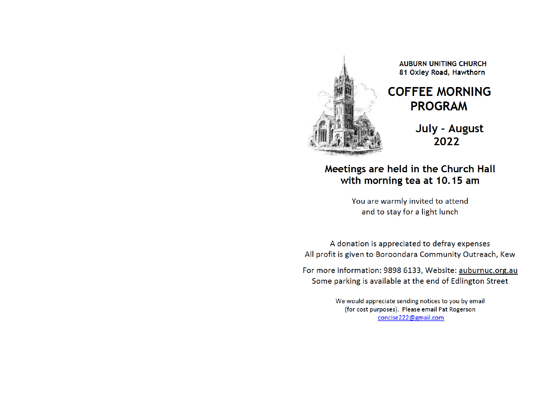

## **AUBURN UNITING CHURCH** 81 Oxley Road, Hawthorn

## **COFFEE MORNING PROGRAM**

July - August 2022

Meetings are held in the Church Hall with morning tea at 10.15 am

> You are warmly invited to attend and to stay for a light lunch

A donation is appreciated to defray expenses All profit is given to Boroondara Community Outreach, Kew

For more information: 9898 6133, Website: auburnuc.org.au Some parking is available at the end of Edlington Street

> We would appreciate sending notices to you by email (for cost purposes). Please email Pat Rogerson concise222@gmail.com